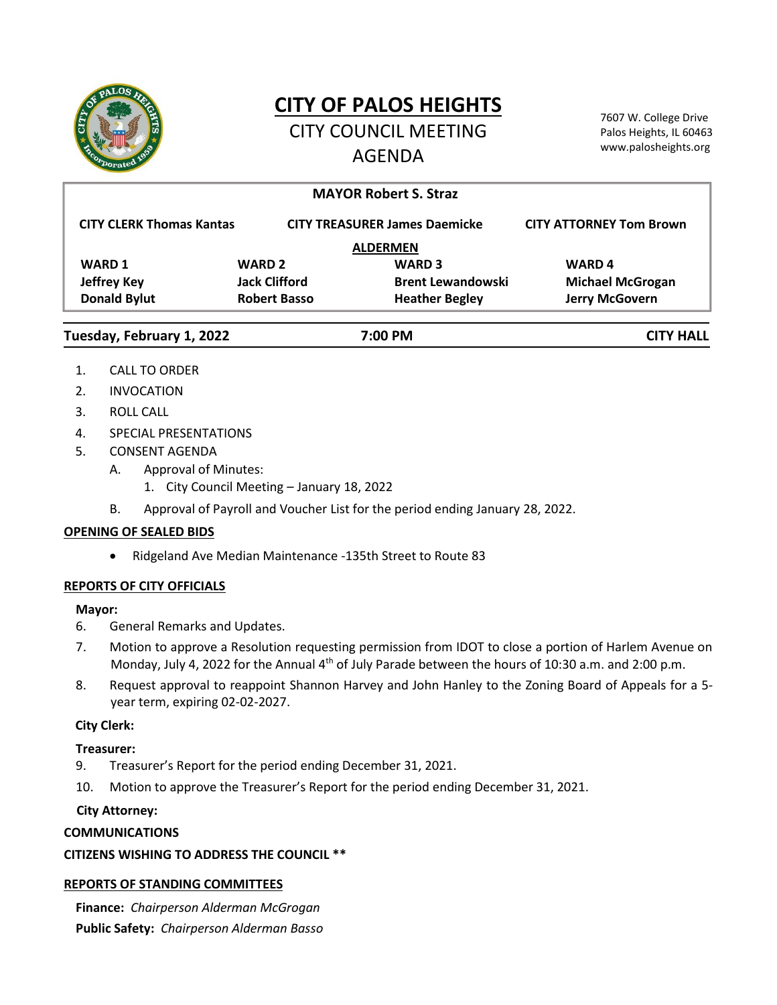

# **CITY OF PALOS HEIGHTS**

CITY COUNCIL MEETING AGENDA

7607 W. College Drive Palos Heights, IL 60463 www.palosheights.org

|                                      |                      | <b>MAYOR Robert S. Straz</b>         |                                |
|--------------------------------------|----------------------|--------------------------------------|--------------------------------|
| <b>CITY CLERK Thomas Kantas</b>      |                      | <b>CITY TREASURER James Daemicke</b> | <b>CITY ATTORNEY Tom Brown</b> |
|                                      |                      | <b>ALDERMEN</b>                      |                                |
| <b>WARD 1</b>                        | <b>WARD 2</b>        | <b>WARD 3</b>                        | <b>WARD4</b>                   |
| <b>Jeffrey Key</b>                   | <b>Jack Clifford</b> | <b>Brent Lewandowski</b>             | <b>Michael McGrogan</b>        |
| <b>Donald Bylut</b>                  | <b>Robert Basso</b>  | <b>Heather Begley</b>                | Jerry McGovern                 |
| Tuesday, February 1, 2022<br>7:00 PM |                      |                                      | <b>CITY HALL</b>               |

- 1. CALL TO ORDER
- 2. INVOCATION
- 3. ROLL CALL
- 4. SPECIAL PRESENTATIONS
- 5. CONSENT AGENDA
	- A. Approval of Minutes:
		- 1. City Council Meeting January 18, 2022
	- B. Approval of Payroll and Voucher List for the period ending January 28, 2022.

#### **OPENING OF SEALED BIDS**

Ridgeland Ave Median Maintenance -135th Street to Route 83

## **REPORTS OF CITY OFFICIALS**

#### **Mayor:**

- 6. General Remarks and Updates.
- 7. Motion to approve a Resolution requesting permission from IDOT to close a portion of Harlem Avenue on Monday, July 4, 2022 for the Annual 4<sup>th</sup> of July Parade between the hours of 10:30 a.m. and 2:00 p.m.
- 8. Request approval to reappoint Shannon Harvey and John Hanley to the Zoning Board of Appeals for a 5 year term, expiring 02-02-2027.

## **City Clerk:**

## **Treasurer:**

- 9. Treasurer's Report for the period ending December 31, 2021.
- 10. Motion to approve the Treasurer's Report for the period ending December 31, 2021.

## **City Attorney:**

## **COMMUNICATIONS**

## **CITIZENS WISHING TO ADDRESS THE COUNCIL \*\***

## **REPORTS OF STANDING COMMITTEES**

**Finance:** *Chairperson Alderman McGrogan* **Public Safety:** *Chairperson Alderman Basso*